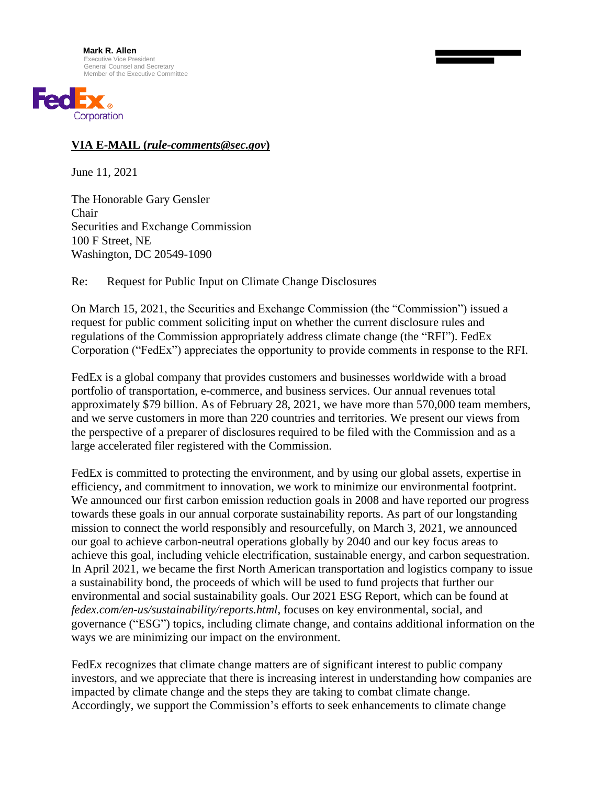

## **VIA E-MAIL (***rule-comments@sec.gov***)**

June 11, 2021

The Honorable Gary Gensler Chair Securities and Exchange Commission 100 F Street, NE Washington, DC 20549-1090

Re: Request for Public Input on Climate Change Disclosures

On March 15, 2021, the Securities and Exchange Commission (the "Commission") issued a request for public comment soliciting input on whether the current disclosure rules and regulations of the Commission appropriately address climate change (the "RFI"). FedEx Corporation ("FedEx") appreciates the opportunity to provide comments in response to the RFI.

FedEx is a global company that provides customers and businesses worldwide with a broad portfolio of transportation, e-commerce, and business services. Our annual revenues total approximately \$79 billion. As of February 28, 2021, we have more than 570,000 team members, and we serve customers in more than 220 countries and territories. We present our views from the perspective of a preparer of disclosures required to be filed with the Commission and as a large accelerated filer registered with the Commission.

FedEx is committed to protecting the environment, and by using our global assets, expertise in efficiency, and commitment to innovation, we work to minimize our environmental footprint. We announced our first carbon emission reduction goals in 2008 and have reported our progress towards these goals in our annual corporate sustainability reports. As part of our longstanding mission to connect the world responsibly and resourcefully, on March 3, 2021, we announced our goal to achieve carbon-neutral operations globally by 2040 and our key focus areas to achieve this goal, including vehicle electrification, sustainable energy, and carbon sequestration. In April 2021, we became the first North American transportation and logistics company to issue a sustainability bond, the proceeds of which will be used to fund projects that further our environmental and social sustainability goals. Our 2021 ESG Report, which can be found at *fedex.com/en-us/sustainability/reports.html*, focuses on key environmental, social, and governance ("ESG") topics, including climate change, and contains additional information on the ways we are minimizing our impact on the environment.

FedEx recognizes that climate change matters are of significant interest to public company investors, and we appreciate that there is increasing interest in understanding how companies are impacted by climate change and the steps they are taking to combat climate change. Accordingly, we support the Commission's efforts to seek enhancements to climate change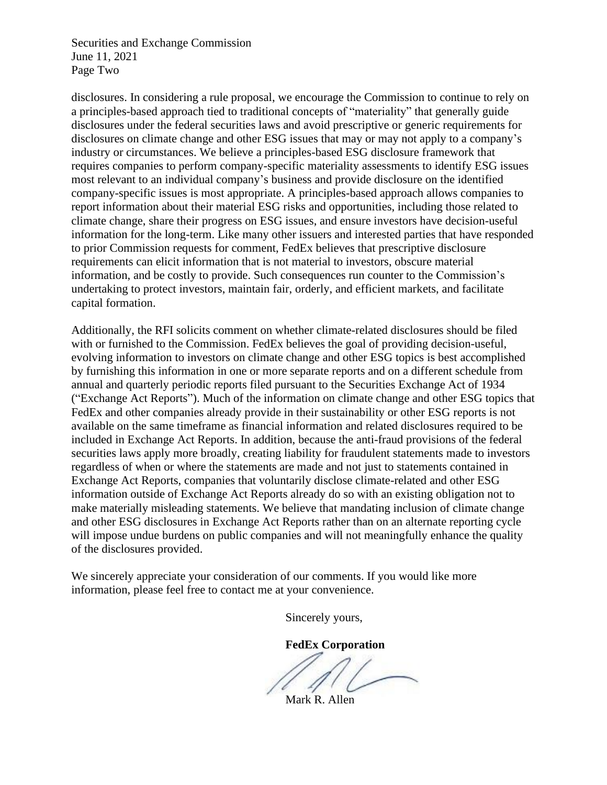Securities and Exchange Commission June 11, 2021 Page Two

disclosures. In considering a rule proposal, we encourage the Commission to continue to rely on a principles-based approach tied to traditional concepts of "materiality" that generally guide disclosures under the federal securities laws and avoid prescriptive or generic requirements for disclosures on climate change and other ESG issues that may or may not apply to a company's industry or circumstances. We believe a principles-based ESG disclosure framework that requires companies to perform company-specific materiality assessments to identify ESG issues most relevant to an individual company's business and provide disclosure on the identified company-specific issues is most appropriate. A principles-based approach allows companies to report information about their material ESG risks and opportunities, including those related to climate change, share their progress on ESG issues, and ensure investors have decision-useful information for the long-term. Like many other issuers and interested parties that have responded to prior Commission requests for comment, FedEx believes that prescriptive disclosure requirements can elicit information that is not material to investors, obscure material information, and be costly to provide. Such consequences run counter to the Commission's undertaking to protect investors, maintain fair, orderly, and efficient markets, and facilitate capital formation.

Additionally, the RFI solicits comment on whether climate-related disclosures should be filed with or furnished to the Commission. FedEx believes the goal of providing decision-useful, evolving information to investors on climate change and other ESG topics is best accomplished by furnishing this information in one or more separate reports and on a different schedule from annual and quarterly periodic reports filed pursuant to the Securities Exchange Act of 1934 ("Exchange Act Reports"). Much of the information on climate change and other ESG topics that FedEx and other companies already provide in their sustainability or other ESG reports is not available on the same timeframe as financial information and related disclosures required to be included in Exchange Act Reports. In addition, because the anti-fraud provisions of the federal securities laws apply more broadly, creating liability for fraudulent statements made to investors regardless of when or where the statements are made and not just to statements contained in Exchange Act Reports, companies that voluntarily disclose climate-related and other ESG information outside of Exchange Act Reports already do so with an existing obligation not to make materially misleading statements. We believe that mandating inclusion of climate change and other ESG disclosures in Exchange Act Reports rather than on an alternate reporting cycle will impose undue burdens on public companies and will not meaningfully enhance the quality of the disclosures provided.

We sincerely appreciate your consideration of our comments. If you would like more information, please feel free to contact me at your convenience.

Sincerely yours,

**FedEx Corporation**

Mark R. Allen